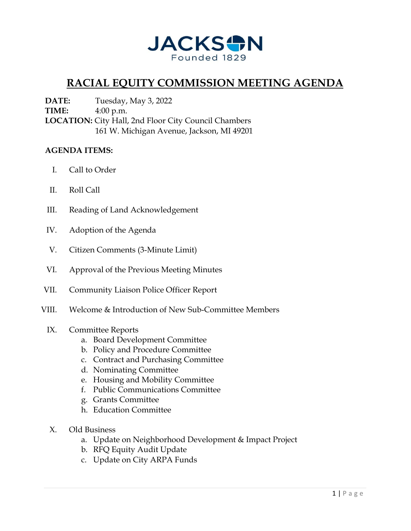

## **RACIAL EQUITY COMMISSION MEETING AGENDA**

**DATE:** Tuesday, May 3, 2022 **TIME:** 4:00 p.m. **LOCATION:** City Hall, 2nd Floor City Council Chambers 161 W. Michigan Avenue, Jackson, MI 49201

## **AGENDA ITEMS:**

- I. Call to Order
- II. Roll Call
- III. Reading of Land Acknowledgement
- IV. Adoption of the Agenda
- V. Citizen Comments (3-Minute Limit)
- VI. Approval of the Previous Meeting Minutes
- VII. Community Liaison Police Officer Report
- VIII. Welcome & Introduction of New Sub-Committee Members

## IX. Committee Reports

- a. Board Development Committee
- b. Policy and Procedure Committee
- c. Contract and Purchasing Committee
- d. Nominating Committee
- e. Housing and Mobility Committee
- f. Public Communications Committee
- g. Grants Committee
- h. Education Committee
- X. Old Business
	- a. Update on Neighborhood Development & Impact Project
	- b. RFQ Equity Audit Update
	- c. Update on City ARPA Funds